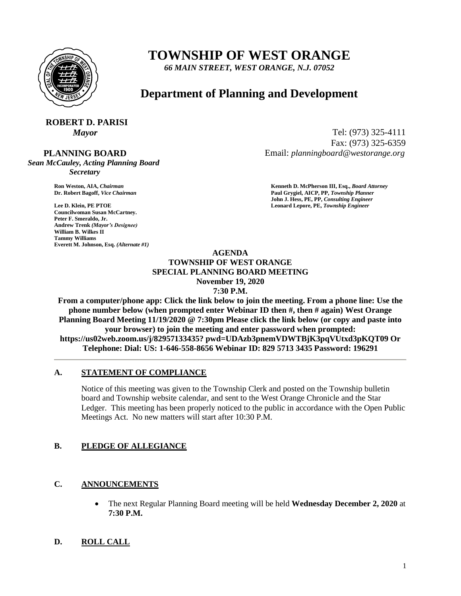

# **TOWNSHIP OF WEST ORANGE**

*66 MAIN STREET, WEST ORANGE, N.J. 07052*

## **Department of Planning and Development**

# **ROBERT D. PARISI**

 **PLANNING BOARD**

*Sean McCauley, Acting Planning Board Secretary*

**Councilwoman Susan McCartney. Peter F. Smeraldo, Jr. Andrew Trenk** *(Mayor's Designee)* **William B. Wilkes II Tammy Williams Everett M. Johnson, Esq.** *(Alternate #1)*

*Mayor* Tel: (973) 325-4111 Fax: (973) 325-6359 Email: *planningboard@westorange.org*

**Ron Weston, AIA,** *Chairman* **<b>Kenneth D. McPherson III, Esq.,** *Board Attorney* **Criminal Community Community Community Community Community Community Community Community Community Community Community Community Community Co Dr. Robert Bagoff,** *Vice Chairman* **Paul Grygiel, AICP, PP,** *Township Planner* **John J. Hess, PE, PP,** *Consulting Engineer* **Lee D. Klein, PE PTOE Leonard Lepore, PE,** *Township Engineer*

#### **AGENDA TOWNSHIP OF WEST ORANGE SPECIAL PLANNING BOARD MEETING November 19, 2020 7:30 P.M.**

**From a computer/phone app: Click the link below to join the meeting. From a phone line: Use the phone number below (when prompted enter Webinar ID then #, then # again) West Orange Planning Board Meeting 11/19/2020 @ 7:30pm Please click the link below (or copy and paste into your browser) to join the meeting and enter password when prompted: https://us02web.zoom.us/j/82957133435? pwd=UDAzb3pnemVDWTBjK3pqVUtxd3pKQT09 Or Telephone: Dial: US: 1-646-558-8656 Webinar ID: 829 5713 3435 Password: 196291**

### **A. STATEMENT OF COMPLIANCE**

Notice of this meeting was given to the Township Clerk and posted on the Township bulletin board and Township website calendar, and sent to the West Orange Chronicle and the Star Ledger. This meeting has been properly noticed to the public in accordance with the Open Public Meetings Act. No new matters will start after 10:30 P.M.

#### **B. PLEDGE OF ALLEGIANCE**

### **C. ANNOUNCEMENTS**

 The next Regular Planning Board meeting will be held **Wednesday December 2, 2020** at **7:30 P.M.**

### **D. ROLL CALL**